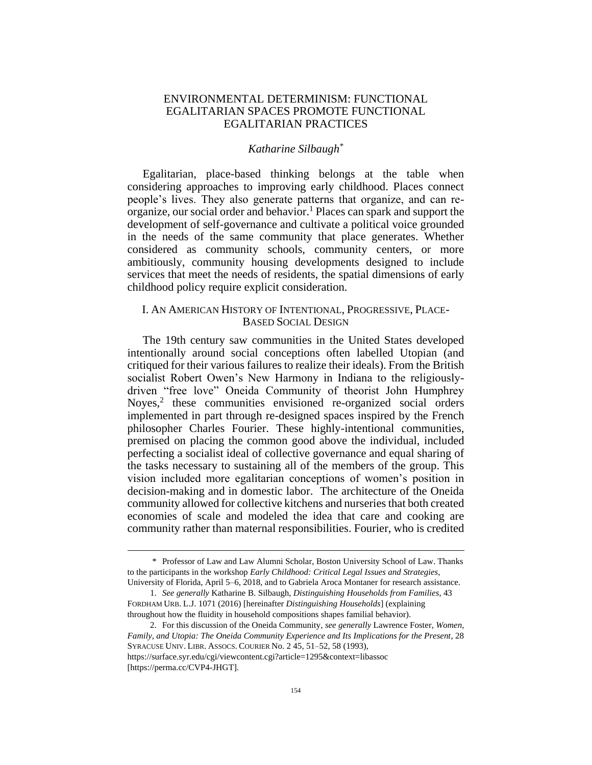## ENVIRONMENTAL DETERMINISM: FUNCTIONAL EGALITARIAN SPACES PROMOTE FUNCTIONAL EGALITARIAN PRACTICES

## <span id="page-0-0"></span>*Katharine Silbaugh\**

Egalitarian, place-based thinking belongs at the table when considering approaches to improving early childhood. Places connect people's lives. They also generate patterns that organize, and can reorganize, our social order and behavior.<sup>1</sup> Places can spark and support the development of self-governance and cultivate a political voice grounded in the needs of the same community that place generates. Whether considered as community schools, community centers, or more ambitiously, community housing developments designed to include services that meet the needs of residents, the spatial dimensions of early childhood policy require explicit consideration.

# I. AN AMERICAN HISTORY OF INTENTIONAL, PROGRESSIVE, PLACE-BASED SOCIAL DESIGN

The 19th century saw communities in the United States developed intentionally around social conceptions often labelled Utopian (and critiqued for their various failures to realize their ideals). From the British socialist Robert Owen's New Harmony in Indiana to the religiouslydriven "free love" Oneida Community of theorist John Humphrey Noyes,<sup>2</sup> these communities envisioned re-organized social orders implemented in part through re-designed spaces inspired by the French philosopher Charles Fourier. These highly-intentional communities, premised on placing the common good above the individual, included perfecting a socialist ideal of collective governance and equal sharing of the tasks necessary to sustaining all of the members of the group. This vision included more egalitarian conceptions of women's position in decision-making and in domestic labor. The architecture of the Oneida community allowed for collective kitchens and nurseries that both created economies of scale and modeled the idea that care and cooking are community rather than maternal responsibilities. Fourier, who is credited

[https://perma.cc/CVP4-JHGT].

<sup>\*</sup> Professor of Law and Law Alumni Scholar, Boston University School of Law. Thanks to the participants in the workshop *Early Childhood: Critical Legal Issues and Strategies*, University of Florida, April 5–6, 2018, and to Gabriela Aroca Montaner for research assistance.

<sup>1.</sup> *See generally* Katharine B. Silbaugh, *Distinguishing Households from Families*, 43 FORDHAM URB. L.J. 1071 (2016) [hereinafter *Distinguishing Households*] (explaining throughout how the fluidity in household compositions shapes familial behavior).

<sup>2.</sup> For this discussion of the Oneida Community, *see generally* Lawrence Foster, *Women, Family, and Utopia: The Oneida Community Experience and Its Implications for the Present*, 28 SYRACUSE UNIV. LIBR. ASSOCS. COURIER No. 2 45, 51–52, 58 (1993), https://surface.syr.edu/cgi/viewcontent.cgi?article=1295&context=libassoc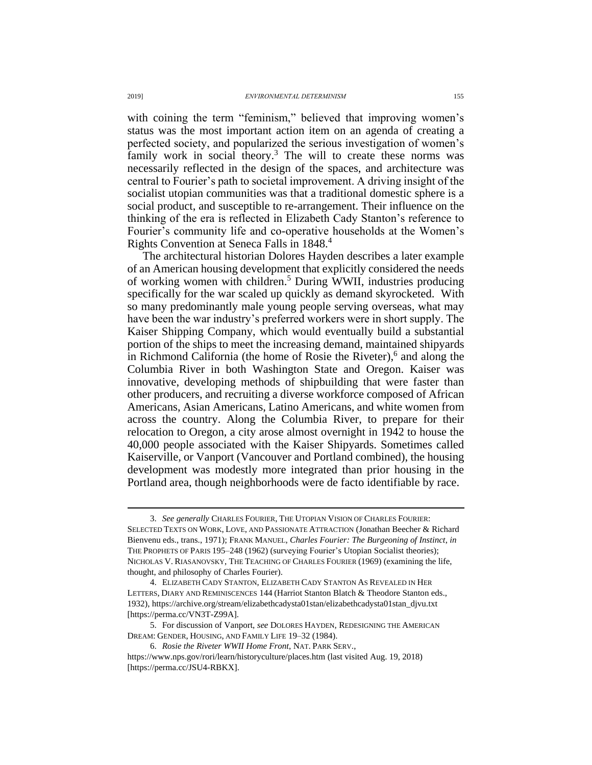with coining the term "feminism," believed that improving women's status was the most important action item on an agenda of creating a perfected society, and popularized the serious investigation of women's family work in social theory.<sup>3</sup> The will to create these norms was necessarily reflected in the design of the spaces, and architecture was central to Fourier's path to societal improvement. A driving insight of the socialist utopian communities was that a traditional domestic sphere is a social product, and susceptible to re-arrangement. Their influence on the thinking of the era is reflected in Elizabeth Cady Stanton's reference to Fourier's community life and co-operative households at the Women's Rights Convention at Seneca Falls in 1848.<sup>4</sup>

<span id="page-1-0"></span>The architectural historian Dolores Hayden describes a later example of an American housing development that explicitly considered the needs of working women with children.<sup>5</sup> During WWII, industries producing specifically for the war scaled up quickly as demand skyrocketed. With so many predominantly male young people serving overseas, what may have been the war industry's preferred workers were in short supply. The Kaiser Shipping Company, which would eventually build a substantial portion of the ships to meet the increasing demand, maintained shipyards in Richmond California (the home of Rosie the Riveter), 6 and along the Columbia River in both Washington State and Oregon. Kaiser was innovative, developing methods of shipbuilding that were faster than other producers, and recruiting a diverse workforce composed of African Americans, Asian Americans, Latino Americans, and white women from across the country. Along the Columbia River, to prepare for their relocation to Oregon, a city arose almost overnight in 1942 to house the 40,000 people associated with the Kaiser Shipyards. Sometimes called Kaiserville, or Vanport (Vancouver and Portland combined), the housing development was modestly more integrated than prior housing in the Portland area, though neighborhoods were de facto identifiable by race.

<sup>3.</sup> *See generally* CHARLES FOURIER, THE UTOPIAN VISION OF CHARLES FOURIER: SELECTED TEXTS ON WORK, LOVE, AND PASSIONATE ATTRACTION (Jonathan Beecher & Richard Bienvenu eds., trans., 1971); FRANK MANUEL, *Charles Fourier: The Burgeoning of Instinct*, *in* THE PROPHETS OF PARIS 195–248 (1962) (surveying Fourier's Utopian Socialist theories); NICHOLAS V. RIASANOVSKY, THE TEACHING OF CHARLES FOURIER (1969) (examining the life, thought, and philosophy of Charles Fourier).

<sup>4.</sup> ELIZABETH CADY STANTON, ELIZABETH CADY STANTON AS REVEALED IN HER LETTERS, DIARY AND REMINISCENCES 144 (Harriot Stanton Blatch & Theodore Stanton eds., 1932), https://archive.org/stream/elizabethcadysta01stan/elizabethcadysta01stan\_djvu.txt [https://perma.cc/VN3T-Z99A].

<sup>5.</sup> For discussion of Vanport, *see* DOLORES HAYDEN, REDESIGNING THE AMERICAN DREAM: GENDER, HOUSING, AND FAMILY LIFE 19–32 (1984).

<sup>6.</sup> *Rosie the Riveter WWII Home Front*, NAT. PARK SERV.,

https://www.nps.gov/rori/learn/historyculture/places.htm (last visited Aug. 19, 2018) [https://perma.cc/JSU4-RBKX].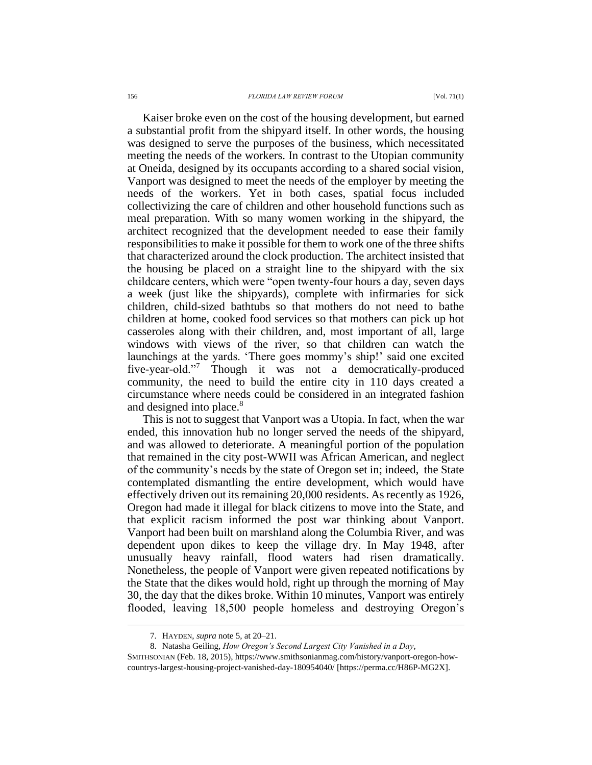#### 156 *FLORIDA LAW REVIEW FORUM* [Vol. 71(1)

Kaiser broke even on the cost of the housing development, but earned a substantial profit from the shipyard itself. In other words, the housing was designed to serve the purposes of the business, which necessitated meeting the needs of the workers. In contrast to the Utopian community at Oneida, designed by its occupants according to a shared social vision, Vanport was designed to meet the needs of the employer by meeting the needs of the workers. Yet in both cases, spatial focus included collectivizing the care of children and other household functions such as meal preparation. With so many women working in the shipyard, the architect recognized that the development needed to ease their family responsibilities to make it possible for them to work one of the three shifts that characterized around the clock production. The architect insisted that the housing be placed on a straight line to the shipyard with the six childcare centers, which were "open twenty-four hours a day, seven days a week (just like the shipyards), complete with infirmaries for sick children, child-sized bathtubs so that mothers do not need to bathe children at home, cooked food services so that mothers can pick up hot casseroles along with their children, and, most important of all, large windows with views of the river, so that children can watch the launchings at the yards. 'There goes mommy's ship!' said one excited five-year-old."<sup>7</sup> Though it was not a democratically-produced community, the need to build the entire city in 110 days created a circumstance where needs could be considered in an integrated fashion and designed into place.<sup>8</sup>

This is not to suggest that Vanport was a Utopia. In fact, when the war ended, this innovation hub no longer served the needs of the shipyard, and was allowed to deteriorate. A meaningful portion of the population that remained in the city post-WWII was African American, and neglect of the community's needs by the state of Oregon set in; indeed, the State contemplated dismantling the entire development, which would have effectively driven out its remaining 20,000 residents. As recently as 1926, Oregon had made it illegal for black citizens to move into the State, and that explicit racism informed the post war thinking about Vanport. Vanport had been built on marshland along the Columbia River, and was dependent upon dikes to keep the village dry. In May 1948, after unusually heavy rainfall, flood waters had risen dramatically. Nonetheless, the people of Vanport were given repeated notifications by the State that the dikes would hold, right up through the morning of May 30, the day that the dikes broke. Within 10 minutes, Vanport was entirely flooded, leaving 18,500 people homeless and destroying Oregon's

<sup>7.</sup> HAYDEN, *supra* note [5,](#page-1-0) at 20–21.

<sup>8.</sup> Natasha Geiling, *How Oregon's Second Largest City Vanished in a Day*,

SMITHSONIAN (Feb. 18, 2015), https://www.smithsonianmag.com/history/vanport-oregon-howcountrys-largest-housing-project-vanished-day-180954040/ [https://perma.cc/H86P-MG2X].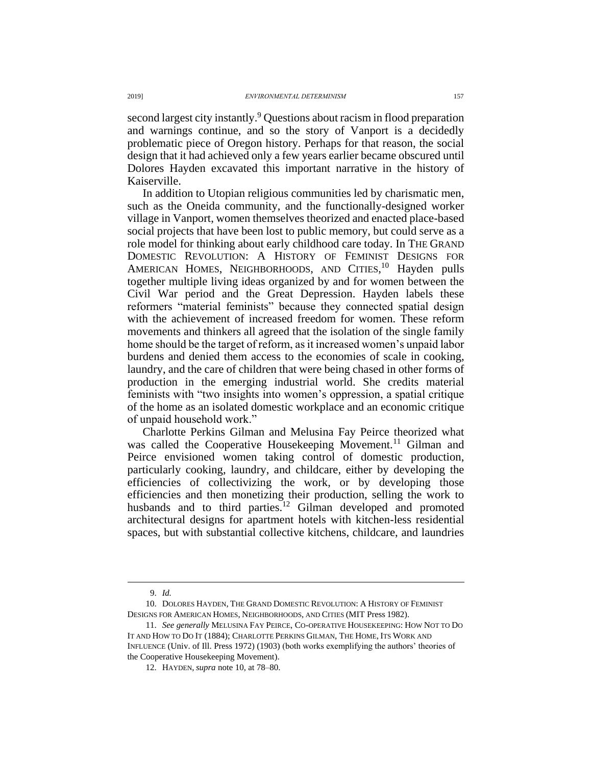second largest city instantly.<sup>9</sup> Questions about racism in flood preparation and warnings continue, and so the story of Vanport is a decidedly problematic piece of Oregon history. Perhaps for that reason, the social design that it had achieved only a few years earlier became obscured until Dolores Hayden excavated this important narrative in the history of Kaiserville.

<span id="page-3-0"></span>In addition to Utopian religious communities led by charismatic men, such as the Oneida community, and the functionally-designed worker village in Vanport, women themselves theorized and enacted place-based social projects that have been lost to public memory, but could serve as a role model for thinking about early childhood care today. In THE GRAND DOMESTIC REVOLUTION: A HISTORY OF FEMINIST DESIGNS FOR AMERICAN HOMES, NEIGHBORHOODS, AND CITIES,<sup>10</sup> Hayden pulls together multiple living ideas organized by and for women between the Civil War period and the Great Depression. Hayden labels these reformers "material feminists" because they connected spatial design with the achievement of increased freedom for women. These reform movements and thinkers all agreed that the isolation of the single family home should be the target of reform, as it increased women's unpaid labor burdens and denied them access to the economies of scale in cooking, laundry, and the care of children that were being chased in other forms of production in the emerging industrial world. She credits material feminists with "two insights into women's oppression, a spatial critique of the home as an isolated domestic workplace and an economic critique of unpaid household work."

Charlotte Perkins Gilman and Melusina Fay Peirce theorized what was called the Cooperative Housekeeping Movement.<sup>11</sup> Gilman and Peirce envisioned women taking control of domestic production, particularly cooking, laundry, and childcare, either by developing the efficiencies of collectivizing the work, or by developing those efficiencies and then monetizing their production, selling the work to husbands and to third parties.<sup>12</sup> Gilman developed and promoted architectural designs for apartment hotels with kitchen-less residential spaces, but with substantial collective kitchens, childcare, and laundries

<sup>9.</sup> *Id.*

<sup>10.</sup> DOLORES HAYDEN, THE GRAND DOMESTIC REVOLUTION: A HISTORY OF FEMINIST DESIGNS FOR AMERICAN HOMES, NEIGHBORHOODS, AND CITIES (MIT Press 1982).

<sup>11.</sup> *See generally* MELUSINA FAY PEIRCE, CO-OPERATIVE HOUSEKEEPING: HOW NOT TO DO IT AND HOW TO DO IT (1884); CHARLOTTE PERKINS GILMAN, THE HOME, ITS WORK AND INFLUENCE (Univ. of Ill. Press 1972) (1903) (both works exemplifying the authors' theories of the Cooperative Housekeeping Movement).

<sup>12.</sup> HAYDEN, *supra* note [10,](#page-3-0) at 78–80.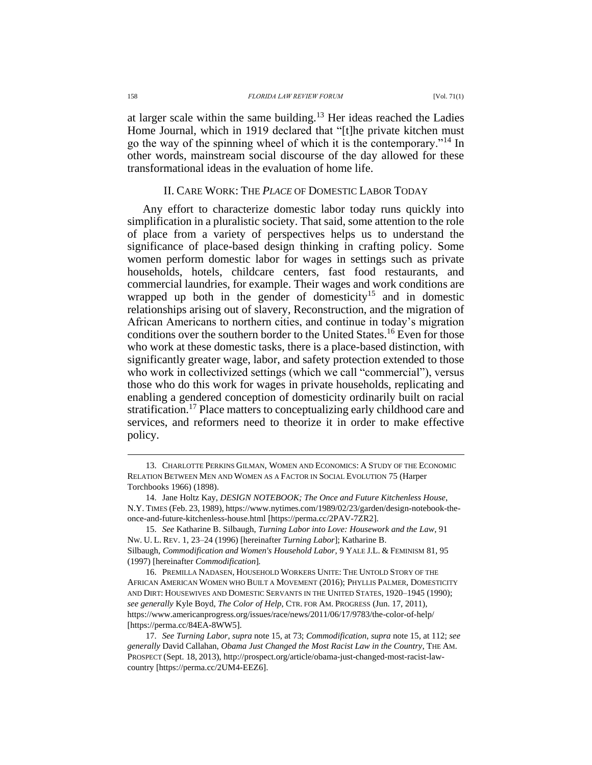at larger scale within the same building.<sup>13</sup> Her ideas reached the Ladies Home Journal, which in 1919 declared that "[t]he private kitchen must go the way of the spinning wheel of which it is the contemporary."<sup>14</sup> In other words, mainstream social discourse of the day allowed for these transformational ideas in the evaluation of home life.

### <span id="page-4-0"></span>II. CARE WORK: THE *PLACE* OF DOMESTIC LABOR TODAY

Any effort to characterize domestic labor today runs quickly into simplification in a pluralistic society. That said, some attention to the role of place from a variety of perspectives helps us to understand the significance of place-based design thinking in crafting policy. Some women perform domestic labor for wages in settings such as private households, hotels, childcare centers, fast food restaurants, and commercial laundries, for example. Their wages and work conditions are wrapped up both in the gender of domesticity<sup>15</sup> and in domestic relationships arising out of slavery, Reconstruction, and the migration of African Americans to northern cities, and continue in today's migration conditions over the southern border to the United States.<sup>16</sup> Even for those who work at these domestic tasks, there is a place-based distinction, with significantly greater wage, labor, and safety protection extended to those who work in collectivized settings (which we call "commercial"), versus those who do this work for wages in private households, replicating and enabling a gendered conception of domesticity ordinarily built on racial stratification.<sup>17</sup> Place matters to conceptualizing early childhood care and services, and reformers need to theorize it in order to make effective policy.

<sup>13.</sup> CHARLOTTE PERKINS GILMAN, WOMEN AND ECONOMICS: A STUDY OF THE ECONOMIC RELATION BETWEEN MEN AND WOMEN AS A FACTOR IN SOCIAL EVOLUTION 75 (Harper Torchbooks 1966) (1898).

<sup>14.</sup> Jane Holtz Kay, *DESIGN NOTEBOOK; The Once and Future Kitchenless House*, N.Y. TIMES (Feb. 23, 1989), https://www.nytimes.com/1989/02/23/garden/design-notebook-theonce-and-future-kitchenless-house.html [https://perma.cc/2PAV-7ZR2].

<sup>15.</sup> *See* Katharine B. Silbaugh, *Turning Labor into Love: Housework and the Law*, 91 NW. U. L. REV. 1, 23–24 (1996) [hereinafter *Turning Labor*]; Katharine B. Silbaugh, *Commodification and Women's Household Labor*, 9 YALE J.L. & FEMINISM 81, 95 (1997) [hereinafter *Commodification*]*.* 

<sup>16.</sup> PREMILLA NADASEN, HOUSEHOLD WORKERS UNITE: THE UNTOLD STORY OF THE AFRICAN AMERICAN WOMEN WHO BUILT A MOVEMENT (2016); PHYLLIS PALMER*,* DOMESTICITY AND DIRT: HOUSEWIVES AND DOMESTIC SERVANTS IN THE UNITED STATES, 1920–1945 (1990); *see generally* Kyle Boyd, *The Color of Help*, CTR. FOR AM. PROGRESS (Jun. 17, 2011), https://www.americanprogress.org/issues/race/news/2011/06/17/9783/the-color-of-help/ [https://perma.cc/84EA-8WW5].

<sup>17.</sup> *See Turning Labor*, *supra* note [15,](#page-4-0) at 73; *Commodification*, *supra* not[e 15,](#page-4-0) at 112; *see generally* David Callahan, *Obama Just Changed the Most Racist Law in the Country*, THE AM. PROSPECT (Sept. 18, 2013), [http://prospect.org/article/obama-just-changed-most-racist-law](http://prospect.org/article/obama-just-changed-most-racist-law-country)[country](http://prospect.org/article/obama-just-changed-most-racist-law-country) [https://perma.cc/2UM4-EEZ6].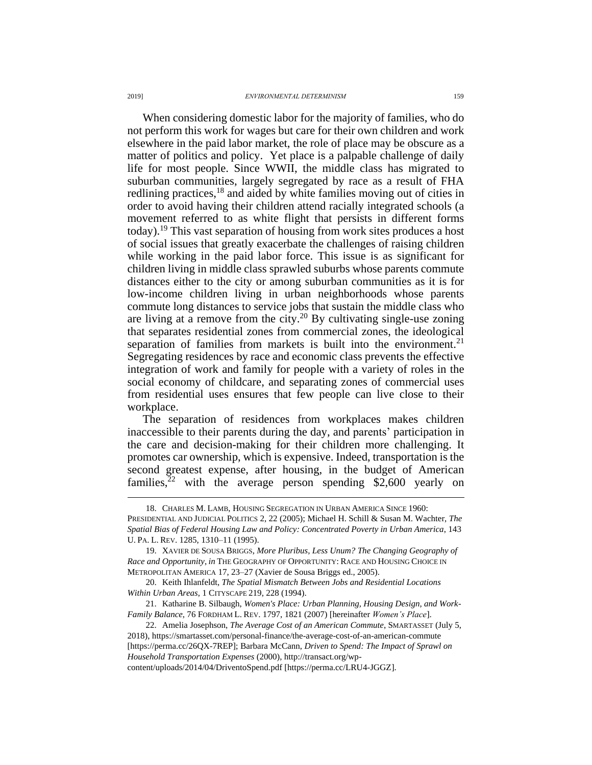When considering domestic labor for the majority of families, who do not perform this work for wages but care for their own children and work elsewhere in the paid labor market, the role of place may be obscure as a matter of politics and policy. Yet place is a palpable challenge of daily life for most people. Since WWII, the middle class has migrated to suburban communities, largely segregated by race as a result of FHA redlining practices,<sup>18</sup> and aided by white families moving out of cities in order to avoid having their children attend racially integrated schools (a movement referred to as white flight that persists in different forms today).<sup>19</sup> This vast separation of housing from work sites produces a host of social issues that greatly exacerbate the challenges of raising children while working in the paid labor force. This issue is as significant for children living in middle class sprawled suburbs whose parents commute distances either to the city or among suburban communities as it is for low-income children living in urban neighborhoods whose parents commute long distances to service jobs that sustain the middle class who are living at a remove from the city.<sup>20</sup> By cultivating single-use zoning that separates residential zones from commercial zones, the ideological separation of families from markets is built into the environment.<sup>21</sup> Segregating residences by race and economic class prevents the effective integration of work and family for people with a variety of roles in the social economy of childcare, and separating zones of commercial uses from residential uses ensures that few people can live close to their workplace.

<span id="page-5-0"></span>The separation of residences from workplaces makes children inaccessible to their parents during the day, and parents' participation in the care and decision-making for their children more challenging. It promotes car ownership, which is expensive. Indeed, transportation is the second greatest expense, after housing, in the budget of American families,<sup>22</sup> with the average person spending \$2,600 yearly on

content/uploads/2014/04/DriventoSpend.pdf [https://perma.cc/LRU4-JGGZ].

<sup>18.</sup> CHARLES M. LAMB, HOUSING SEGREGATION IN URBAN AMERICA SINCE 1960:

PRESIDENTIAL AND JUDICIAL POLITICS 2, 22 (2005); Michael H. Schill & Susan M. Wachter, *The Spatial Bias of Federal Housing Law and Policy: Concentrated Poverty in Urban America*, 143 U. PA. L. REV. 1285, 1310–11 (1995).

<sup>19.</sup> XAVIER DE SOUSA BRIGGS, *More Pluribus, Less Unum? The Changing Geography of Race and Opportunity*, *in* THE GEOGRAPHY OF OPPORTUNITY: RACE AND HOUSING CHOICE IN METROPOLITAN AMERICA 17, 23–27 (Xavier de Sousa Briggs ed., 2005).

<sup>20.</sup> Keith Ihlanfeldt, *The Spatial Mismatch Between Jobs and Residential Locations Within Urban Areas*, 1 CITYSCAPE 219, 228 (1994).

<sup>21.</sup> Katharine B. Silbaugh, *Women's Place: Urban Planning, Housing Design, and Work-Family Balance*, 76 FORDHAM L. REV. 1797, 1821 (2007) [hereinafter *Women's Place*].

<sup>22.</sup> Amelia Josephson, *The Average Cost of an American Commute*, SMARTASSET (July 5, 2018), https://smartasset.com/personal-finance/the-average-cost-of-an-american-commute [https://perma.cc/26QX-7REP]; Barbara McCann, *Driven to Spend: The Impact of Sprawl on Household Transportation Expenses* (2000), http://transact.org/wp-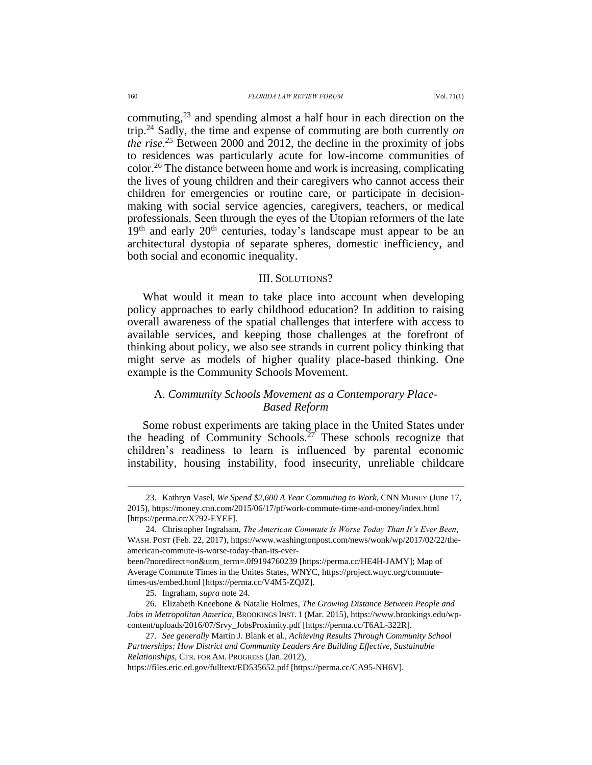<span id="page-6-0"></span>commuting, $2<sup>3</sup>$  and spending almost a half hour in each direction on the trip.<sup>24</sup> Sadly, the time and expense of commuting are both currently *on the rise. <sup>25</sup>* Between 2000 and 2012, the decline in the proximity of jobs to residences was particularly acute for low-income communities of color.<sup>26</sup> The distance between home and work is increasing, complicating the lives of young children and their caregivers who cannot access their children for emergencies or routine care, or participate in decisionmaking with social service agencies, caregivers, teachers, or medical professionals. Seen through the eyes of the Utopian reformers of the late  $19<sup>th</sup>$  and early  $20<sup>th</sup>$  centuries, today's landscape must appear to be an architectural dystopia of separate spheres, domestic inefficiency, and both social and economic inequality.

#### III. SOLUTIONS?

What would it mean to take place into account when developing policy approaches to early childhood education? In addition to raising overall awareness of the spatial challenges that interfere with access to available services, and keeping those challenges at the forefront of thinking about policy, we also see strands in current policy thinking that might serve as models of higher quality place-based thinking. One example is the Community Schools Movement.

# A. *Community Schools Movement as a Contemporary Place-Based Reform*

Some robust experiments are taking place in the United States under the heading of Community Schools.<sup>27</sup> These schools recognize that children's readiness to learn is influenced by parental economic instability, housing instability, food insecurity, unreliable childcare

<sup>23.</sup> Kathryn Vasel, *We Spend \$2,600 A Year Commuting to Work*, CNN MONEY (June 17, 2015), https://money.cnn.com/2015/06/17/pf/work-commute-time-and-money/index.html [https://perma.cc/X792-EYEF].

<sup>24.</sup> Christopher Ingraham, *The American Commute Is Worse Today Than It's Ever Been*, WASH. POST (Feb. 22, 2017), https://www.washingtonpost.com/news/wonk/wp/2017/02/22/theamerican-commute-is-worse-today-than-its-ever-

been/?noredirect=on&utm\_term=.0f9194760239 [https://perma.cc/HE4H-JAMY]; Map of Average Commute Times in the Unites States, WNYC, https://project.wnyc.org/commutetimes-us/embed.html [https://perma.cc/V4M5-ZQJZ].

<sup>25.</sup> Ingraham, *supra* not[e 24.](#page-6-0)

<sup>26.</sup> Elizabeth Kneebone & Natalie Holmes, *The Growing Distance Between People and Jobs in Metropolitan America*, BROOKINGS INST. 1 (Mar. 2015), https://www.brookings.edu/wpcontent/uploads/2016/07/Srvy\_JobsProximity.pdf [https://perma.cc/T6AL-322R].

<sup>27.</sup> *See generally* Martin J. Blank et al., *Achieving Results Through Community School Partnerships: How District and Community Leaders Are Building Effective, Sustainable Relationships*, CTR. FOR AM. PROGRESS (Jan. 2012),

https://files.eric.ed.gov/fulltext/ED535652.pdf [https://perma.cc/CA95-NH6V].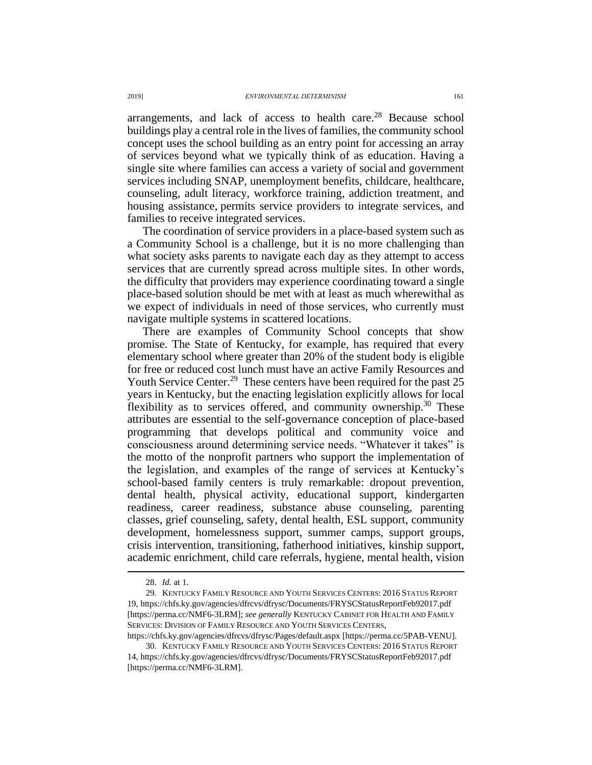arrangements, and lack of access to health care. $^{28}$  Because school buildings play a central role in the lives of families, the community school concept uses the school building as an entry point for accessing an array of services beyond what we typically think of as education. Having a single site where families can access a variety of social and government services including SNAP, unemployment benefits, childcare, healthcare, counseling, adult literacy, workforce training, addiction treatment, and housing assistance, permits service providers to integrate services, and families to receive integrated services.

The coordination of service providers in a place-based system such as a Community School is a challenge, but it is no more challenging than what society asks parents to navigate each day as they attempt to access services that are currently spread across multiple sites. In other words, the difficulty that providers may experience coordinating toward a single place-based solution should be met with at least as much wherewithal as we expect of individuals in need of those services, who currently must navigate multiple systems in scattered locations.

There are examples of Community School concepts that show promise. The State of Kentucky, for example, has required that every elementary school where greater than 20% of the student body is eligible for free or reduced cost lunch must have an active Family Resources and Youth Service Center.<sup>29</sup> These centers have been required for the past 25 years in Kentucky, but the enacting legislation explicitly allows for local flexibility as to services offered, and community ownership.<sup>30</sup> These attributes are essential to the self-governance conception of place-based programming that develops political and community voice and consciousness around determining service needs. "Whatever it takes" is the motto of the nonprofit partners who support the implementation of the legislation, and examples of the range of services at Kentucky's school-based family centers is truly remarkable: dropout prevention, dental health, physical activity, educational support, kindergarten readiness, career readiness, substance abuse counseling, parenting classes, grief counseling, safety, dental health, ESL support, community development, homelessness support, summer camps, support groups, crisis intervention, transitioning, fatherhood initiatives, kinship support, academic enrichment, child care referrals, hygiene, mental health, vision

 $\overline{a}$ 

https://chfs.ky.gov/agencies/dfrcvs/dfrysc/Pages/default.aspx [https://perma.cc/5PAB-VENU].

<sup>28.</sup> *Id.* at 1.

<sup>29.</sup> KENTUCKY FAMILY RESOURCE AND YOUTH SERVICES CENTERS: 2016 STATUS REPORT 19, https://chfs.ky.gov/agencies/dfrcvs/dfrysc/Documents/FRYSCStatusReportFeb92017.pdf [https://perma.cc/NMF6-3LRM]; *see generally* KENTUCKY CABINET FOR HEALTH AND FAMILY SERVICES: DIVISION OF FAMILY RESOURCE AND YOUTH SERVICES CENTERS,

<sup>30.</sup> KENTUCKY FAMILY RESOURCE AND YOUTH SERVICES CENTERS: 2016 STATUS REPORT 14, https://chfs.ky.gov/agencies/dfrcvs/dfrysc/Documents/FRYSCStatusReportFeb92017.pdf [https://perma.cc/NMF6-3LRM].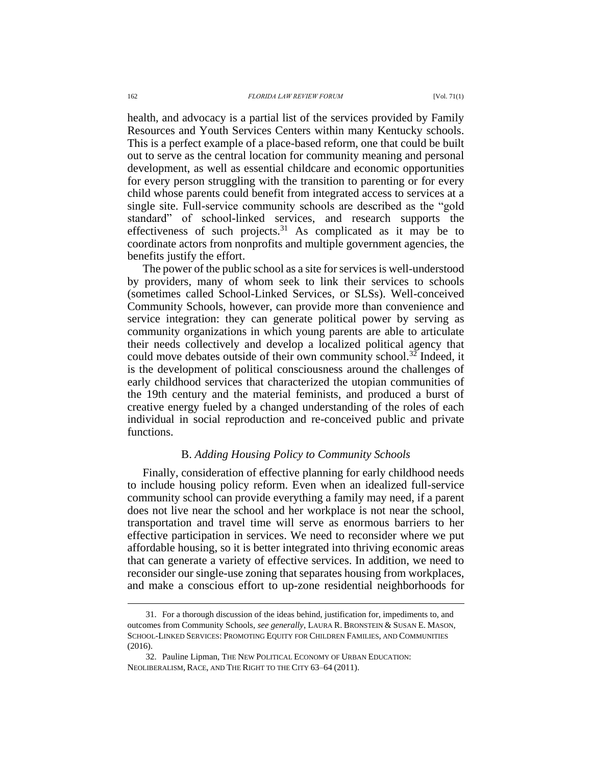health, and advocacy is a partial list of the services provided by Family Resources and Youth Services Centers within many Kentucky schools. This is a perfect example of a place-based reform, one that could be built out to serve as the central location for community meaning and personal development, as well as essential childcare and economic opportunities for every person struggling with the transition to parenting or for every child whose parents could benefit from integrated access to services at a single site. Full-service community schools are described as the "gold standard" of school-linked services, and research supports the effectiveness of such projects. $31$  As complicated as it may be to coordinate actors from nonprofits and multiple government agencies, the benefits justify the effort.

The power of the public school as a site for services is well-understood by providers, many of whom seek to link their services to schools (sometimes called School-Linked Services, or SLSs). Well-conceived Community Schools, however, can provide more than convenience and service integration: they can generate political power by serving as community organizations in which young parents are able to articulate their needs collectively and develop a localized political agency that could move debates outside of their own community school.<sup>32</sup> Indeed, it is the development of political consciousness around the challenges of early childhood services that characterized the utopian communities of the 19th century and the material feminists, and produced a burst of creative energy fueled by a changed understanding of the roles of each individual in social reproduction and re-conceived public and private functions.

#### B. *Adding Housing Policy to Community Schools*

Finally, consideration of effective planning for early childhood needs to include housing policy reform. Even when an idealized full-service community school can provide everything a family may need, if a parent does not live near the school and her workplace is not near the school, transportation and travel time will serve as enormous barriers to her effective participation in services. We need to reconsider where we put affordable housing, so it is better integrated into thriving economic areas that can generate a variety of effective services. In addition, we need to reconsider our single-use zoning that separates housing from workplaces, and make a conscious effort to up-zone residential neighborhoods for

<sup>31.</sup> For a thorough discussion of the ideas behind, justification for, impediments to, and outcomes from Community Schools, *see generally*, LAURA R. BRONSTEIN & SUSAN E. MASON, SCHOOL-LINKED SERVICES: PROMOTING EQUITY FOR CHILDREN FAMILIES, AND COMMUNITIES (2016).

<sup>32.</sup> Pauline Lipman, THE NEW POLITICAL ECONOMY OF URBAN EDUCATION: NEOLIBERALISM, RACE, AND THE RIGHT TO THE CITY 63–64 (2011).